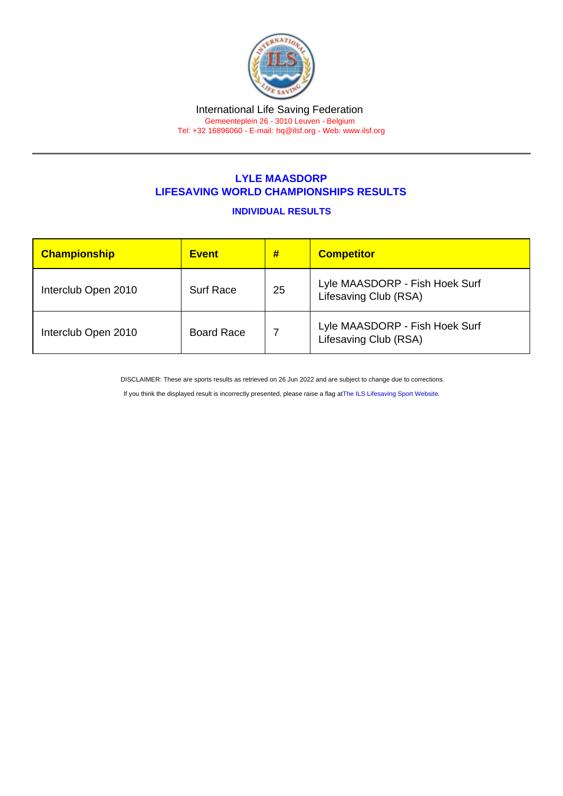## LYLE MAASDORP LIFESAVING WORLD CHAMPIONSHIPS RESULTS

## INDIVIDUAL RESULTS

| Championship        | <b>Event</b>      | #  | <b>Competitor</b>                                       |
|---------------------|-------------------|----|---------------------------------------------------------|
| Interclub Open 2010 | <b>Surf Race</b>  | 25 | Lyle MAASDORP - Fish Hoek Surf<br>Lifesaving Club (RSA) |
| Interclub Open 2010 | <b>Board Race</b> |    | Lyle MAASDORP - Fish Hoek Surf<br>Lifesaving Club (RSA) |

DISCLAIMER: These are sports results as retrieved on 26 Jun 2022 and are subject to change due to corrections.

If you think the displayed result is incorrectly presented, please raise a flag at [The ILS Lifesaving Sport Website.](https://sport.ilsf.org)